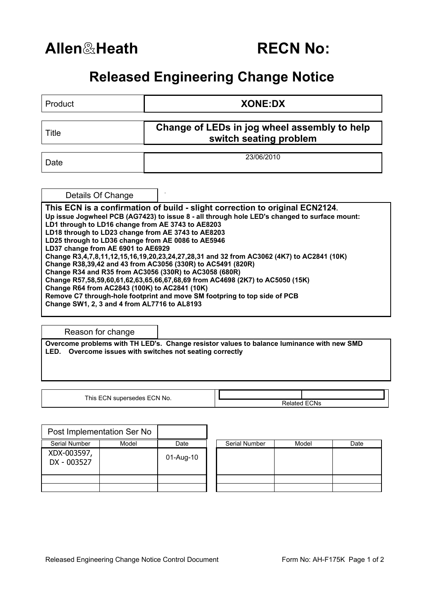## **Allen**&**Heath RECN No:**

## **Released Engineering Change Notice**

| Product                                                                                                                                                                                                                                                                                                                                                                                                                                                                                                                                                                                                                                                                                                                                                          | <b>XONE:DX</b> |  |  |  |  |  |
|------------------------------------------------------------------------------------------------------------------------------------------------------------------------------------------------------------------------------------------------------------------------------------------------------------------------------------------------------------------------------------------------------------------------------------------------------------------------------------------------------------------------------------------------------------------------------------------------------------------------------------------------------------------------------------------------------------------------------------------------------------------|----------------|--|--|--|--|--|
| Change of LEDs in jog wheel assembly to help<br>Title<br>switch seating problem                                                                                                                                                                                                                                                                                                                                                                                                                                                                                                                                                                                                                                                                                  |                |  |  |  |  |  |
| Date                                                                                                                                                                                                                                                                                                                                                                                                                                                                                                                                                                                                                                                                                                                                                             | 23/06/2010     |  |  |  |  |  |
| Details Of Change<br>This ECN is a confirmation of build - slight correction to original ECN2124.<br>Up issue Jogwheel PCB (AG7423) to issue 8 - all through hole LED's changed to surface mount:<br>LD1 through to LD16 change from AE 3743 to AE8203<br>LD18 through to LD23 change from AE 3743 to AE8203<br>LD25 through to LD36 change from AE 0086 to AE5946<br>LD37 change from AE 6901 to AE6929<br>Change R3,4,7,8,11,12,15,16,19,20,23,24,27,28,31 and 32 from AC3062 (4K7) to AC2841 (10K)<br>Change R38,39,42 and 43 from AC3056 (330R) to AC5491 (820R)<br>Change R34 and R35 from AC3056 (330R) to AC3058 (680R)<br>Change R57,58,59,60,61,62,63,65,66,67,68,69 from AC4698 (2K7) to AC5050 (15K)<br>Change R64 from AC2843 (100K) to AC2841 (10K) |                |  |  |  |  |  |
| Remove C7 through-hole footprint and move SM footpring to top side of PCB<br>Change SW1, 2, 3 and 4 from AL7716 to AL8193                                                                                                                                                                                                                                                                                                                                                                                                                                                                                                                                                                                                                                        |                |  |  |  |  |  |

Reason for change

**Overcome problems with TH LED's. Change resistor values to balance luminance with new SMD LED. Overcome issues with switches not seating correctly** 

This ECN supersedes ECN No.

Related ECNs

|                            | Post Implementation Ser No |           |               |       |      |
|----------------------------|----------------------------|-----------|---------------|-------|------|
| Serial Number              | Model                      | Date      | Serial Number | Model | Date |
| XDX-003597,<br>DX - 003527 |                            | 01-Aug-10 |               |       |      |
|                            |                            |           |               |       |      |
|                            |                            |           |               |       |      |